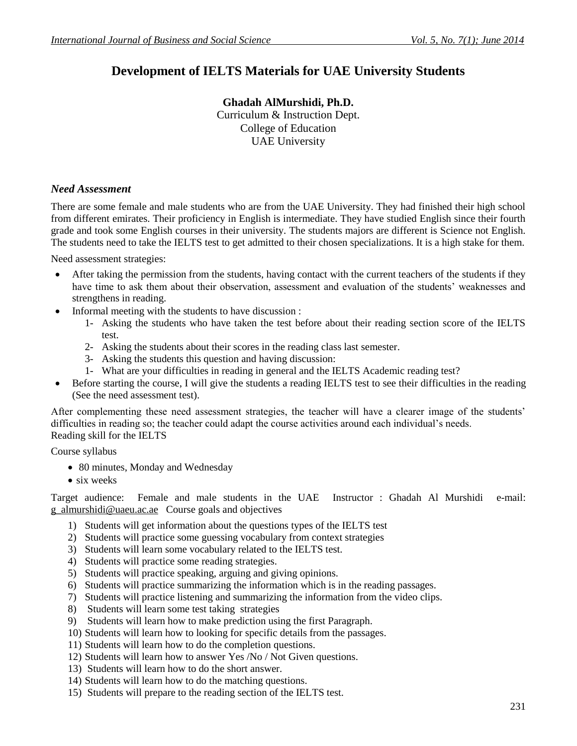# **Development of IELTS Materials for UAE University Students**

**Ghadah AlMurshidi, Ph.D.** Curriculum & Instruction Dept. College of Education UAE University

# *Need Assessment*

There are some female and male students who are from the UAE University. They had finished their high school from different emirates. Their proficiency in English is intermediate. They have studied English since their fourth grade and took some English courses in their university. The students majors are different is Science not English. The students need to take the IELTS test to get admitted to their chosen specializations. It is a high stake for them.

Need assessment strategies:

- After taking the permission from the students, having contact with the current teachers of the students if they have time to ask them about their observation, assessment and evaluation of the students' weaknesses and strengthens in reading.
- Informal meeting with the students to have discussion :
	- 1- Asking the students who have taken the test before about their reading section score of the IELTS test.
	- 2- Asking the students about their scores in the reading class last semester.
	- 3- Asking the students this question and having discussion:
	- 1- What are your difficulties in reading in general and the IELTS Academic reading test?
- Before starting the course, I will give the students a reading IELTS test to see their difficulties in the reading (See the need assessment test).

After complementing these need assessment strategies, the teacher will have a clearer image of the students' difficulties in reading so; the teacher could adapt the course activities around each individual's needs. Reading skill for the IELTS

Course syllabus

- 80 minutes, Monday and Wednesday
- six weeks

Target audience: Female and male students in the UAE Instructor : Ghadah Al Murshidi e-mail: [g\\_almurshidi@uaeu.ac.ae](mailto:g_almurshidi@uaeu.ac.ae) Course goals and objectives

- 1) Students will get information about the questions types of the IELTS test
- 2) Students will practice some guessing vocabulary from context strategies
- 3) Students will learn some vocabulary related to the IELTS test.
- 4) Students will practice some reading strategies.
- 5) Students will practice speaking, arguing and giving opinions.
- 6) Students will practice summarizing the information which is in the reading passages.
- 7) Students will practice listening and summarizing the information from the video clips.
- 8) Students will learn some test taking strategies
- 9) Students will learn how to make prediction using the first Paragraph.
- 10) Students will learn how to looking for specific details from the passages.
- 11) Students will learn how to do the completion questions.
- 12) Students will learn how to answer Yes /No / Not Given questions.
- 13) Students will learn how to do the short answer.
- 14) Students will learn how to do the matching questions.
- 15) Students will prepare to the reading section of the IELTS test.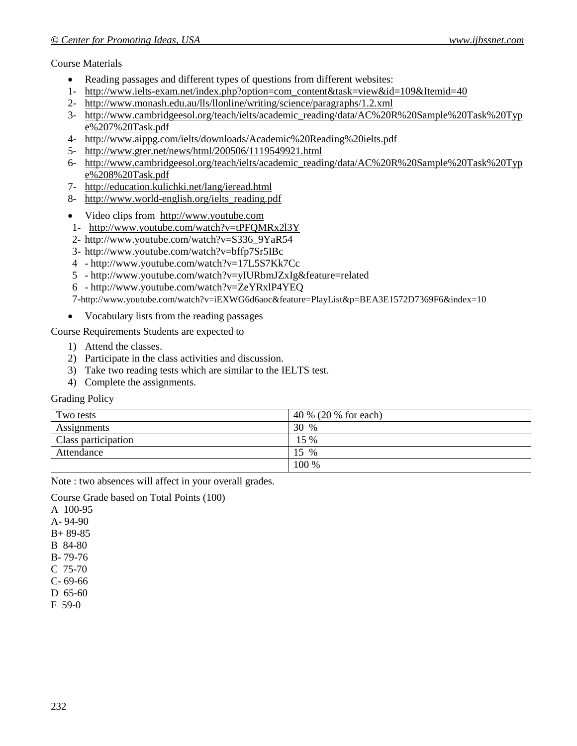# Course Materials

- Reading passages and different types of questions from different websites:
- 1- [http://www.ielts-exam.net/index.php?option=com\\_content&task=view&id=109&Itemid=40](http://www.ielts-exam.net/index.php?option=com_content&task=view&id=109&Itemid=40)
- 2- <http://www.monash.edu.au/lls/llonline/writing/science/paragraphs/1.2.xml>
- 3- [http://www.cambridgeesol.org/teach/ielts/academic\\_reading/data/AC%20R%20Sample%20Task%20Typ](http://www.cambridgeesol.org/teach/ielts/academic_reading/data/AC%20R%20Sample%20Task%20Type%207%20Task.pdf) [e%207%20Task.pdf](http://www.cambridgeesol.org/teach/ielts/academic_reading/data/AC%20R%20Sample%20Task%20Type%207%20Task.pdf)
- 4- <http://www.aippg.com/ielts/downloads/Academic%20Reading%20ielts.pdf>
- 5- <http://www.gter.net/news/html/200506/1119549921.html>
- 6- [http://www.cambridgeesol.org/teach/ielts/academic\\_reading/data/AC%20R%20Sample%20Task%20Typ](http://www.cambridgeesol.org/teach/ielts/academic_reading/data/AC%20R%20Sample%20Task%20Type%208%20Task.pdf) [e%208%20Task.pdf](http://www.cambridgeesol.org/teach/ielts/academic_reading/data/AC%20R%20Sample%20Task%20Type%208%20Task.pdf)
- 7- <http://education.kulichki.net/lang/ieread.html>
- 8- [http://www.world-english.org/ielts\\_reading.pdf](http://www.world-english.org/ielts_reading.pdf)
- Video clips from http://www.youtube.com
- 1- <http://www.youtube.com/watch?v=tPFQMRx2l3Y>
- 2- http://www.youtube.com/watch?v=S336\_9YaR54
- 3- http://www.youtube.com/watch?v=bffp7Sr5IBc
- 4 http://www.youtube.com/watch?v=17L5S7Kk7Cc
- 5 http://www.youtube.com/watch?v=yIURbmJZxIg&feature=related
- 6 http://www.youtube.com/watch?v=ZeYRxlP4YEQ

7-http://www.youtube.com/watch?v=iEXWG6d6aoc&feature=PlayList&p=BEA3E1572D7369F6&index=10

• Vocabulary lists from the reading passages

Course Requirements Students are expected to

- 1) Attend the classes.
- 2) Participate in the class activities and discussion.
- 3) Take two reading tests which are similar to the IELTS test.
- 4) Complete the assignments.

# Grading Policy

| Two tests           | 40 % (20 % for each) |
|---------------------|----------------------|
| Assignments         | 30<br>$\%$           |
| Class participation | 15 %                 |
| Attendance          | 15<br>%              |
|                     | 100 %                |

Note : two absences will affect in your overall grades.

Course Grade based on Total Points (100)

A 100-95

- A- 94-90
- B+ 89-85
- B 84-80
- B- 79-76
- C 75-70
- C- 69-66
- D 65-60

F 59-0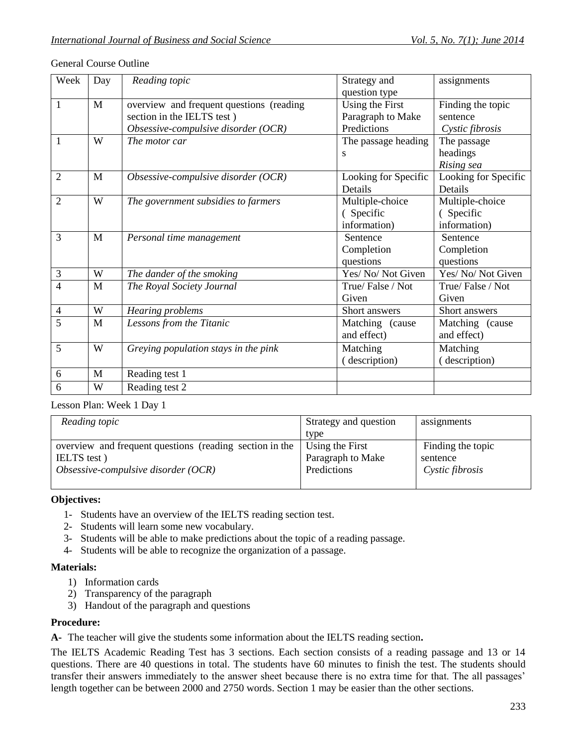| Week           | Day | Reading topic                            | Strategy and         | assignments          |
|----------------|-----|------------------------------------------|----------------------|----------------------|
|                |     |                                          | question type        |                      |
| $\mathbf{1}$   | M   | overview and frequent questions (reading | Using the First      | Finding the topic    |
|                |     | section in the IELTS test)               | Paragraph to Make    | sentence             |
|                |     | Obsessive-compulsive disorder (OCR)      | Predictions          | Cystic fibrosis      |
| 1              | W   | The motor car                            | The passage heading  | The passage          |
|                |     |                                          | S                    | headings             |
|                |     |                                          |                      | Rising sea           |
| $\overline{2}$ | M   | Obsessive-compulsive disorder (OCR)      | Looking for Specific | Looking for Specific |
|                |     |                                          | Details              | Details              |
| $\overline{2}$ | W   | The government subsidies to farmers      | Multiple-choice      | Multiple-choice      |
|                |     |                                          | (Specific            | (Specific            |
|                |     |                                          | information)         | information)         |
| 3              | M   | Personal time management                 | Sentence             | Sentence             |
|                |     |                                          | Completion           | Completion           |
|                |     |                                          | questions            | questions            |
| 3              | W   | The dander of the smoking                | Yes/No/Not Given     | Yes/No/Not Given     |
| $\overline{4}$ | M   | The Royal Society Journal                | True/False / Not     | True/False / Not     |
|                |     |                                          | Given                | Given                |
| $\overline{4}$ | W   | <b>Hearing</b> problems                  | Short answers        | Short answers        |
| 5              | M   | Lessons from the Titanic                 | Matching (cause      | Matching (cause      |
|                |     |                                          | and effect)          | and effect)          |
| 5              | W   | Greying population stays in the pink     | Matching             | Matching             |
|                |     |                                          | (description)        | (description)        |
| 6              | M   | Reading test 1                           |                      |                      |
| 6              | W   | Reading test 2                           |                      |                      |

#### General Course Outline

### Lesson Plan: Week 1 Day 1

| Reading topic                                           | Strategy and question            | assignments       |
|---------------------------------------------------------|----------------------------------|-------------------|
|                                                         | type                             |                   |
| overview and frequent questions (reading section in the | Using the First                  | Finding the topic |
| IELTS test)<br>Obsessive-compulsive disorder $(OCR)$    | Paragraph to Make<br>Predictions | sentence          |
|                                                         |                                  | Cystic fibrosis   |

### **Objectives:**

- 1- Students have an overview of the IELTS reading section test.
- 2- Students will learn some new vocabulary.
- 3- Students will be able to make predictions about the topic of a reading passage.
- 4- Students will be able to recognize the organization of a passage.

## **Materials:**

- 1) Information cards
- 2) Transparency of the paragraph
- 3) Handout of the paragraph and questions

# **Procedure:**

**A-** The teacher will give the students some information about the IELTS reading section**.**

The IELTS Academic Reading Test has 3 sections. Each section consists of a reading passage and 13 or 14 questions. There are 40 questions in total. The students have 60 minutes to finish the test. The students should transfer their answers immediately to the answer sheet because there is no extra time for that. The all passages' length together can be between 2000 and 2750 words. Section 1 may be easier than the other sections.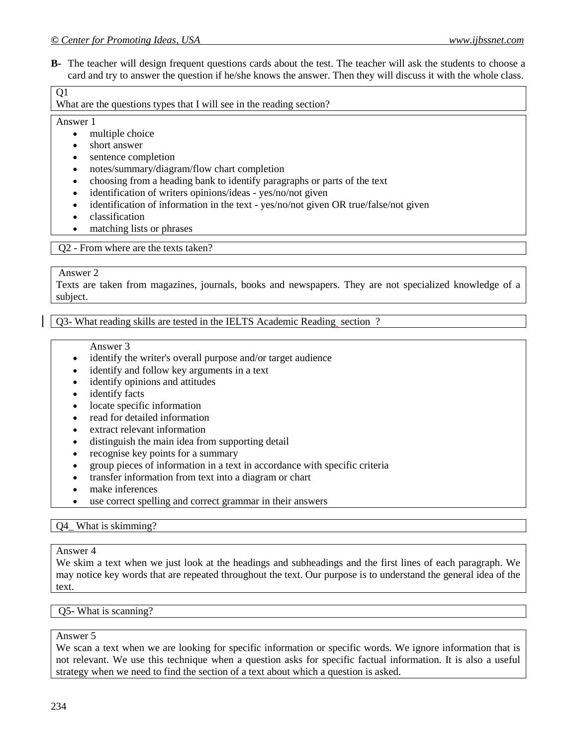**B-** The teacher will design frequent questions cards about the test. The teacher will ask the students to choose a card and try to answer the question if he/she knows the answer. Then they will discuss it with the whole class.

# Q1

What are the questions types that I will see in the reading section?

Answer 1

- multiple choice
- short answer
- sentence completion
- notes/summary/diagram/flow chart completion
- choosing from a heading bank to identify paragraphs or parts of the text
- identification of writers opinions/ideas yes/no/not given
- identification of information in the text yes/no/not given OR true/false/not given
- classification
- matching lists or phrases

#### Q2 - From where are the texts taken?

#### Answer 2

Texts are taken from magazines, journals, books and newspapers. They are not specialized knowledge of a subject.

Q3- What reading skills are tested in the IELTS Academic Reading section ?

#### Answer 3

- identify the writer's overall purpose and/or target audience
- identify and follow key arguments in a text
- identify opinions and attitudes
- identify facts
- locate specific information
- read for detailed information
- extract relevant information
- distinguish the main idea from supporting detail
- recognise key points for a summary
- group pieces of information in a text in accordance with specific criteria
- transfer information from text into a diagram or chart
- make inferences
- use correct spelling and correct grammar in their answers

### Q4\_ What is skimming?

# Answer 4

We skim a text when we just look at the headings and subheadings and the first lines of each paragraph. We may notice key words that are repeated throughout the text. Our purpose is to understand the general idea of the text.

### Q5- What is scanning?

#### Answer 5

We scan a text when we are looking for specific information or specific words. We ignore information that is not relevant. We use this technique when a question asks for specific factual information. It is also a useful strategy when we need to find the section of a text about which a question is asked.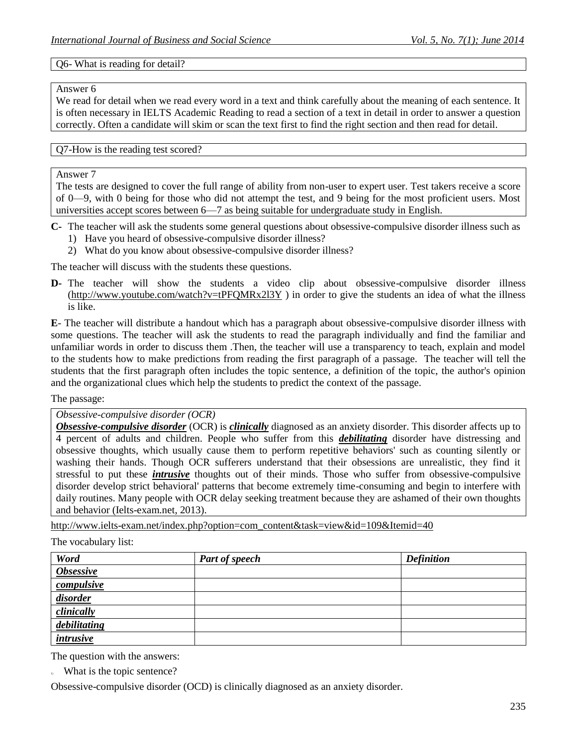Q6- What is reading for detail?

### Answer 6

We read for detail when we read every word in a text and think carefully about the meaning of each sentence. It is often necessary in IELTS Academic Reading to read a section of a text in detail in order to answer a question correctly. Often a candidate will skim or scan the text first to find the right section and then read for detail.

Q7-How is the reading test scored?

### Answer 7

The tests are designed to cover the full range of ability from non-user to expert user. Test takers receive a score of 0—9, with 0 being for those who did not attempt the test, and 9 being for the most proficient users. Most universities accept scores between 6—7 as being suitable for undergraduate study in English.

**C-** The teacher will ask the students some general questions about obsessive-compulsive disorder illness such as

- 1) Have you heard of obsessive-compulsive disorder illness?
- 2) What do you know about obsessive-compulsive disorder illness?

The teacher will discuss with the students these questions.

**D-** The teacher will show the students a video clip about obsessive-compulsive disorder illness [\(http://www.youtube.com/watch?v=tPFQMRx2l3Y](http://www.youtube.com/watch?v=tPFQMRx2l3Y) ) in order to give the students an idea of what the illness is like.

**E**- The teacher will distribute a handout which has a paragraph about obsessive-compulsive disorder illness with some questions. The teacher will ask the students to read the paragraph individually and find the familiar and unfamiliar words in order to discuss them .Then, the teacher will use a transparency to teach, explain and model to the students how to make predictions from reading the first paragraph of a passage. The teacher will tell the students that the first paragraph often includes the topic sentence, a definition of the topic, the author's opinion and the organizational clues which help the students to predict the context of the passage.

The passage:

*Obsessive-compulsive disorder (OCR)*

*Obsessive-compulsive disorder* (OCR) is *clinically* diagnosed as an anxiety disorder. This disorder affects up to 4 percent of adults and children. People who suffer from this *debilitating* disorder have distressing and obsessive thoughts, which usually cause them to perform repetitive behaviors' such as counting silently or washing their hands. Though OCR sufferers understand that their obsessions are unrealistic, they find it stressful to put these *intrusive* thoughts out of their minds. Those who suffer from obsessive-compulsive disorder develop strict behavioral' patterns that become extremely time-consuming and begin to interfere with daily routines. Many people with OCR delay seeking treatment because they are ashamed of their own thoughts and behavior (Ielts-exam.net, 2013).

http://www.ielts-exam.net/index.php?option=com\_content&task=view&id=109&Itemid=40

The vocabulary list:

| Word              | Part of speech | <b>Definition</b> |
|-------------------|----------------|-------------------|
| <b>Obsessive</b>  |                |                   |
| <b>compulsive</b> |                |                   |
| <i>disorder</i>   |                |                   |
| clinically        |                |                   |
| debilitating      |                |                   |
| <i>intrusive</i>  |                |                   |

The question with the answers:

. What is the topic sentence?

Obsessive-compulsive disorder (OCD) is clinically diagnosed as an anxiety disorder.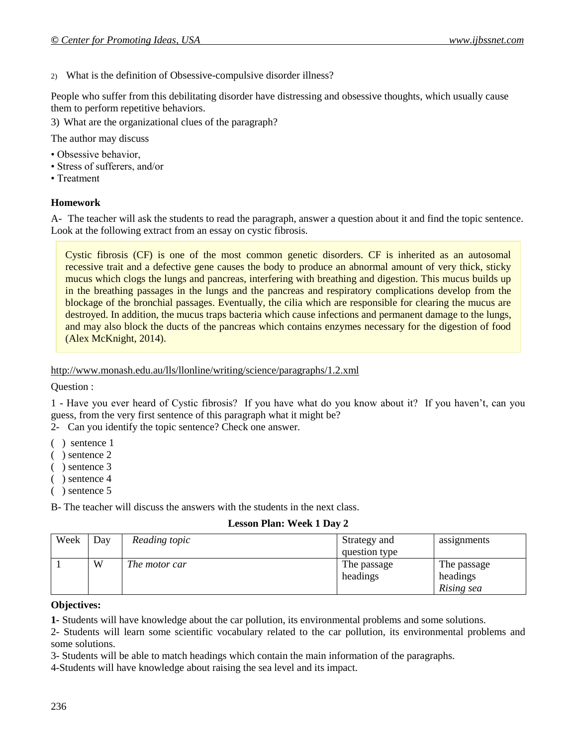2) What is the definition of Obsessive-compulsive disorder illness?

People who suffer from this debilitating disorder have distressing and obsessive thoughts, which usually cause them to perform repetitive behaviors.

3) What are the organizational clues of the paragraph?

The author may discuss

- Obsessive behavior,
- Stress of sufferers, and/or
- Treatment

#### **Homework**

A- The teacher will ask the students to read the paragraph, answer a question about it and find the topic sentence. Look at the following extract from an essay on cystic fibrosis.

Cystic fibrosis (CF) is one of the most common genetic disorders. CF is inherited as an autosomal recessive trait and a defective gene causes the body to produce an abnormal amount of very thick, sticky mucus which clogs the lungs and pancreas, interfering with breathing and digestion. This mucus builds up in the breathing passages in the lungs and the pancreas and respiratory complications develop from the blockage of the bronchial passages. Eventually, the cilia which are responsible for clearing the mucus are destroyed. In addition, the mucus traps bacteria which cause infections and permanent damage to the lungs, and may also block the ducts of the pancreas which contains enzymes necessary for the digestion of food (Alex McKnight, 2014).

<http://www.monash.edu.au/lls/llonline/writing/science/paragraphs/1.2.xml>

#### Question :

1 - Have you ever heard of Cystic fibrosis? If you have what do you know about it? If you haven't, can you guess, from the very first sentence of this paragraph what it might be?

- 2- Can you identify the topic sentence? Check one answer.
- ( ) sentence 1
- ( ) sentence 2
- ( ) sentence 3
- ( ) sentence 4
- ( ) sentence 5

B- The teacher will discuss the answers with the students in the next class.

#### **Lesson Plan: Week 1 Day 2**

| Week | Dav | Reading topic | Strategy and            | assignments             |
|------|-----|---------------|-------------------------|-------------------------|
|      |     |               | question type           |                         |
|      | W   | The motor car | The passage<br>headings | The passage<br>headings |
|      |     |               |                         | Rising sea              |

#### **Objectives:**

**1-** Students will have knowledge about the car pollution, its environmental problems and some solutions.

2- Students will learn some scientific vocabulary related to the car pollution, its environmental problems and some solutions.

3- Students will be able to match headings which contain the main information of the paragraphs.

4-Students will have knowledge about raising the sea level and its impact.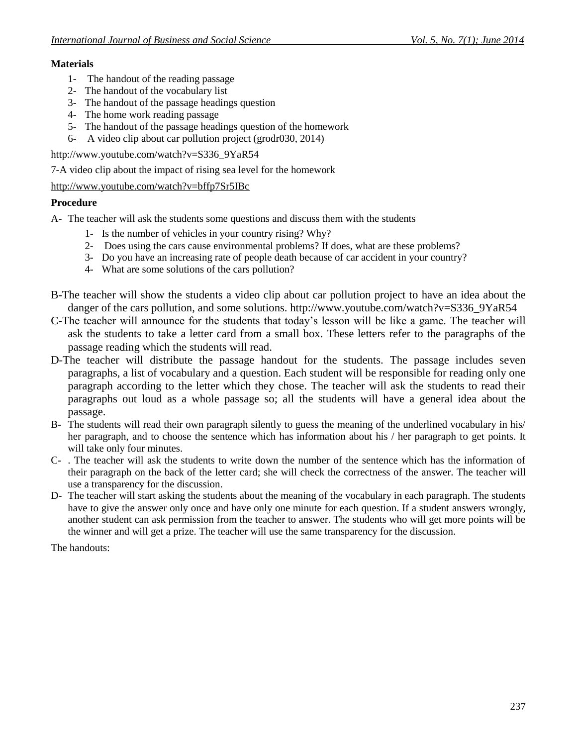## **Materials**

- 1- The handout of the reading passage
- 2- The handout of the vocabulary list
- 3- The handout of the passage headings question
- 4- The home work reading passage
- 5- The handout of the passage headings question of the homework
- 6- A video clip about car pollution project (grodr030, 2014)

http://www.youtube.com/watch?v=S336\_9YaR54

7-A video clip about the impact of rising sea level for the homework

<http://www.youtube.com/watch?v=bffp7Sr5IBc>

### **Procedure**

- A- The teacher will ask the students some questions and discuss them with the students
	- 1- Is the number of vehicles in your country rising? Why?
	- 2- Does using the cars cause environmental problems? If does, what are these problems?
	- 3- Do you have an increasing rate of people death because of car accident in your country?
	- 4- What are some solutions of the cars pollution?
- B-The teacher will show the students a video clip about car pollution project to have an idea about the danger of the cars pollution, and some solutions. http://www.youtube.com/watch?v=S336\_9YaR54
- C-The teacher will announce for the students that today's lesson will be like a game. The teacher will ask the students to take a letter card from a small box. These letters refer to the paragraphs of the passage reading which the students will read.
- D-The teacher will distribute the passage handout for the students. The passage includes seven paragraphs, a list of vocabulary and a question. Each student will be responsible for reading only one paragraph according to the letter which they chose. The teacher will ask the students to read their paragraphs out loud as a whole passage so; all the students will have a general idea about the passage.
- B- The students will read their own paragraph silently to guess the meaning of the underlined vocabulary in his/ her paragraph, and to choose the sentence which has information about his / her paragraph to get points. It will take only four minutes.
- C- . The teacher will ask the students to write down the number of the sentence which has the information of their paragraph on the back of the letter card; she will check the correctness of the answer. The teacher will use a transparency for the discussion.
- D- The teacher will start asking the students about the meaning of the vocabulary in each paragraph. The students have to give the answer only once and have only one minute for each question. If a student answers wrongly, another student can ask permission from the teacher to answer. The students who will get more points will be the winner and will get a prize. The teacher will use the same transparency for the discussion.

The handouts: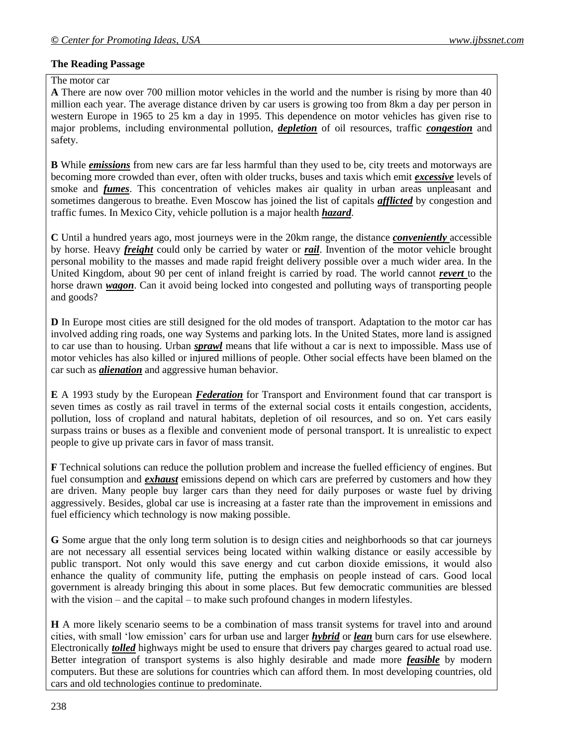## **The Reading Passage**

#### The motor car

**A** There are now over 700 million motor vehicles in the world and the number is rising by more than 40 million each year. The average distance driven by car users is growing too from 8km a day per person in western Europe in 1965 to 25 km a day in 1995. This dependence on motor vehicles has given rise to major problems, including environmental pollution, *depletion* of oil resources, traffic *congestion* and safety.

**B** While *emissions* from new cars are far less harmful than they used to be, city treets and motorways are becoming more crowded than ever, often with older trucks, buses and taxis which emit *excessive* levels of smoke and *fumes*. This concentration of vehicles makes air quality in urban areas unpleasant and sometimes dangerous to breathe. Even Moscow has joined the list of capitals *afflicted* by congestion and traffic fumes. In Mexico City, vehicle pollution is a major health *hazard*.

**C** Until a hundred years ago, most journeys were in the 20km range, the distance *conveniently* accessible by horse. Heavy *freight* could only be carried by water or *rail*. Invention of the motor vehicle brought personal mobility to the masses and made rapid freight delivery possible over a much wider area. In the United Kingdom, about 90 per cent of inland freight is carried by road. The world cannot *revert* to the horse drawn *wagon*. Can it avoid being locked into congested and polluting ways of transporting people and goods?

**D** In Europe most cities are still designed for the old modes of transport. Adaptation to the motor car has involved adding ring roads, one way Systems and parking lots. In the United States, more land is assigned to car use than to housing. Urban *sprawl* means that life without a car is next to impossible. Mass use of motor vehicles has also killed or injured millions of people. Other social effects have been blamed on the car such as *alienation* and aggressive human behavior.

**E** A 1993 study by the European *Federation* for Transport and Environment found that car transport is seven times as costly as rail travel in terms of the external social costs it entails congestion, accidents, pollution, loss of cropland and natural habitats, depletion of oil resources, and so on. Yet cars easily surpass trains or buses as a flexible and convenient mode of personal transport. It is unrealistic to expect people to give up private cars in favor of mass transit.

**F** Technical solutions can reduce the pollution problem and increase the fuelled efficiency of engines. But fuel consumption and *exhaust* emissions depend on which cars are preferred by customers and how they are driven. Many people buy larger cars than they need for daily purposes or waste fuel by driving aggressively. Besides, global car use is increasing at a faster rate than the improvement in emissions and fuel efficiency which technology is now making possible.

**G** Some argue that the only long term solution is to design cities and neighborhoods so that car journeys are not necessary all essential services being located within walking distance or easily accessible by public transport. Not only would this save energy and cut carbon dioxide emissions, it would also enhance the quality of community life, putting the emphasis on people instead of cars. Good local government is already bringing this about in some places. But few democratic communities are blessed with the vision – and the capital – to make such profound changes in modern lifestyles.

**H** A more likely scenario seems to be a combination of mass transit systems for travel into and around cities, with small 'low emission' cars for urban use and larger *hybrid* or *lean* burn cars for use elsewhere. Electronically *tolled* highways might be used to ensure that drivers pay charges geared to actual road use. Better integration of transport systems is also highly desirable and made more *feasible* by modern computers. But these are solutions for countries which can afford them. In most developing countries, old cars and old technologies continue to predominate.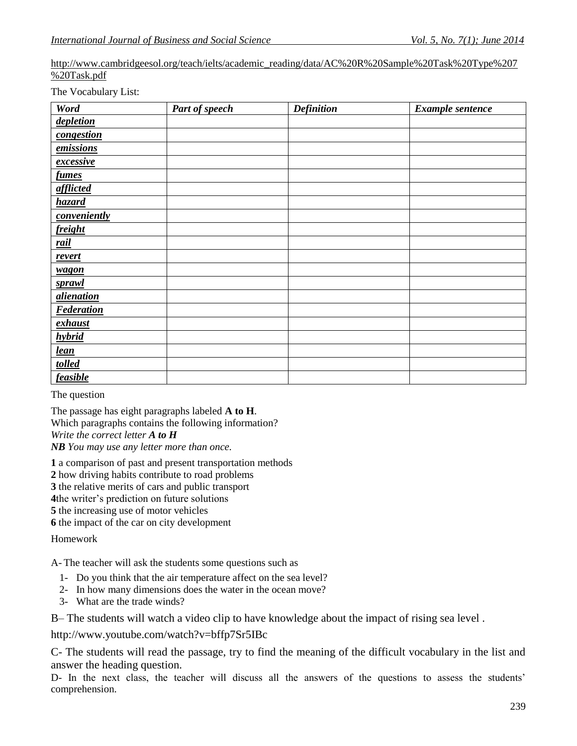# [http://www.cambridgeesol.org/teach/ielts/academic\\_reading/data/AC%20R%20Sample%20Task%20Type%207](http://www.cambridgeesol.org/teach/ielts/academic_reading/data/AC%20R%20Sample%20Task%20Type%207%20Task.pdf) [%20Task.pdf](http://www.cambridgeesol.org/teach/ielts/academic_reading/data/AC%20R%20Sample%20Task%20Type%207%20Task.pdf)

The Vocabulary List:

| Word              | Part of speech | <b>Definition</b> | <b>Example sentence</b> |
|-------------------|----------------|-------------------|-------------------------|
| depletion         |                |                   |                         |
| congestion        |                |                   |                         |
| <i>emissions</i>  |                |                   |                         |
| excessive         |                |                   |                         |
| <i>fumes</i>      |                |                   |                         |
| afflicted         |                |                   |                         |
| hazard            |                |                   |                         |
| conveniently      |                |                   |                         |
| <b>freight</b>    |                |                   |                         |
| <u>rail</u>       |                |                   |                         |
| <u>revert</u>     |                |                   |                         |
| wagon             |                |                   |                         |
| <i>sprawl</i>     |                |                   |                         |
| <i>alienation</i> |                |                   |                         |
| <b>Federation</b> |                |                   |                         |
| exhaust           |                |                   |                         |
| hybrid            |                |                   |                         |
| <u>lean</u>       |                |                   |                         |
| tolled            |                |                   |                         |
| <b>feasible</b>   |                |                   |                         |

The question

The passage has eight paragraphs labeled **A to H**. Which paragraphs contains the following information? *Write the correct letter A to H*

*NB You may use any letter more than once.*

**1** a comparison of past and present transportation methods

- **2** how driving habits contribute to road problems
- **3** the relative merits of cars and public transport
- **4**the writer's prediction on future solutions

**5** the increasing use of motor vehicles

**6** the impact of the car on city development

# Homework

A- The teacher will ask the students some questions such as

- 1- Do you think that the air temperature affect on the sea level?
- 2- In how many dimensions does the water in the ocean move?
- 3- What are the trade winds?

B– The students will watch a video clip to have knowledge about the impact of rising sea level .

http://www.youtube.com/watch?v=bffp7Sr5IBc

C- The students will read the passage, try to find the meaning of the difficult vocabulary in the list and answer the heading question.

D- In the next class, the teacher will discuss all the answers of the questions to assess the students' comprehension.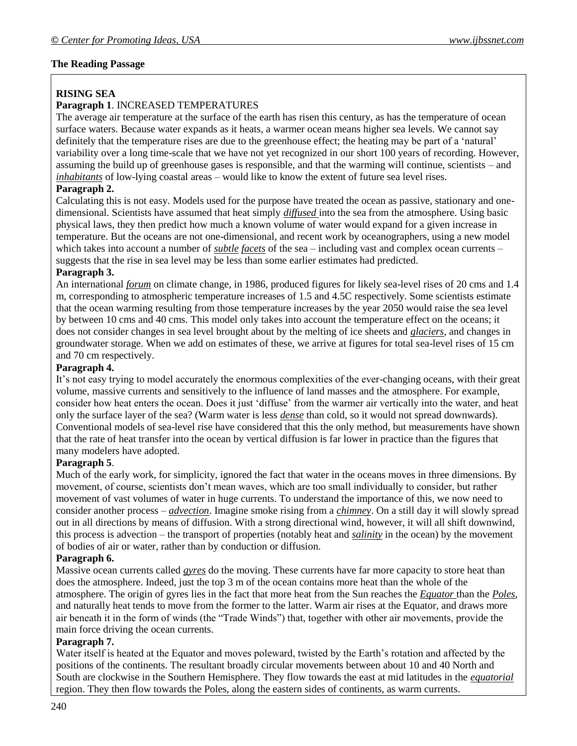# **The Reading Passage**

# **RISING SEA**

# **Paragraph 1**. INCREASED TEMPERATURES

The average air temperature at the surface of the earth has risen this century, as has the temperature of ocean surface waters. Because water expands as it heats, a warmer ocean means higher sea levels. We cannot say definitely that the temperature rises are due to the greenhouse effect; the heating may be part of a 'natural' variability over a long time-scale that we have not yet recognized in our short 100 years of recording. However, assuming the build up of greenhouse gases is responsible, and that the warming will continue, scientists – and *inhabitants* of low-lying coastal areas – would like to know the extent of future sea level rises.

# **Paragraph 2.**

Calculating this is not easy. Models used for the purpose have treated the ocean as passive, stationary and onedimensional. Scientists have assumed that heat simply *diffused* into the sea from the atmosphere. Using basic physical laws, they then predict how much a known volume of water would expand for a given increase in temperature. But the oceans are not one-dimensional, and recent work by oceanographers, using a new model which takes into account a number of *subtle facets* of the sea – including vast and complex ocean currents – suggests that the rise in sea level may be less than some earlier estimates had predicted.

# **Paragraph 3.**

An international *forum* on climate change, in 1986, produced figures for likely sea-level rises of 20 cms and 1.4 m, corresponding to atmospheric temperature increases of 1.5 and 4.5C respectively. Some scientists estimate that the ocean warming resulting from those temperature increases by the year 2050 would raise the sea level by between 10 cms and 40 cms. This model only takes into account the temperature effect on the oceans; it does not consider changes in sea level brought about by the melting of ice sheets and *glaciers*, and changes in groundwater storage. When we add on estimates of these, we arrive at figures for total sea-level rises of 15 cm and 70 cm respectively.

# **Paragraph 4.**

It's not easy trying to model accurately the enormous complexities of the ever-changing oceans, with their great volume, massive currents and sensitively to the influence of land masses and the atmosphere. For example, consider how heat enters the ocean. Does it just 'diffuse' from the warmer air vertically into the water, and heat only the surface layer of the sea? (Warm water is less *dense* than cold, so it would not spread downwards). Conventional models of sea-level rise have considered that this the only method, but measurements have shown that the rate of heat transfer into the ocean by vertical diffusion is far lower in practice than the figures that many modelers have adopted.

# **Paragraph 5**.

Much of the early work, for simplicity, ignored the fact that water in the oceans moves in three dimensions. By movement, of course, scientists don't mean waves, which are too small individually to consider, but rather movement of vast volumes of water in huge currents. To understand the importance of this, we now need to consider another process – *advection*. Imagine smoke rising from a *chimney*. On a still day it will slowly spread out in all directions by means of diffusion. With a strong directional wind, however, it will all shift downwind, this process is advection – the transport of properties (notably heat and *salinity* in the ocean) by the movement of bodies of air or water, rather than by conduction or diffusion.

# **Paragraph 6.**

Massive ocean currents called *gyres* do the moving. These currents have far more capacity to store heat than does the atmosphere. Indeed, just the top 3 m of the ocean contains more heat than the whole of the atmosphere. The origin of gyres lies in the fact that more heat from the Sun reaches the *Equator* than the *Poles*, and naturally heat tends to move from the former to the latter. Warm air rises at the Equator, and draws more air beneath it in the form of winds (the "Trade Winds") that, together with other air movements, provide the main force driving the ocean currents.

# **Paragraph 7.**

Water itself is heated at the Equator and moves poleward, twisted by the Earth's rotation and affected by the positions of the continents. The resultant broadly circular movements between about 10 and 40 North and South are clockwise in the Southern Hemisphere. They flow towards the east at mid latitudes in the *equatorial* region. They then flow towards the Poles, along the eastern sides of continents, as warm currents.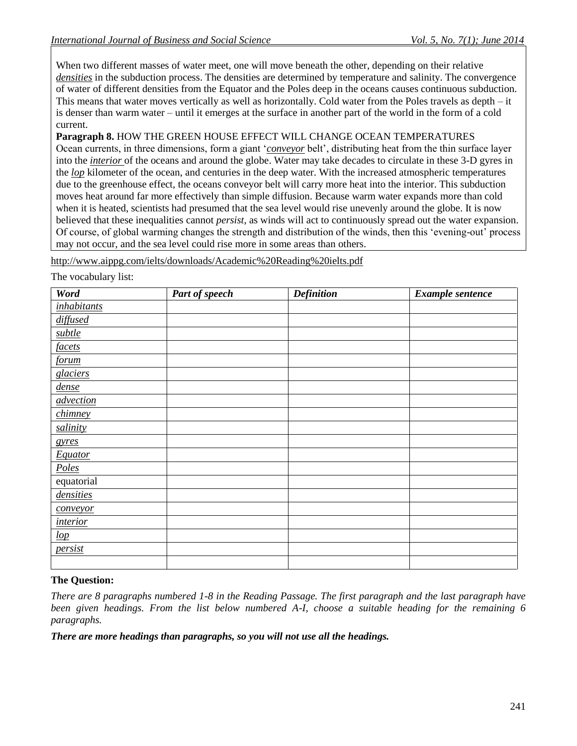When two different masses of water meet, one will move beneath the other, depending on their relative *densities* in the subduction process. The densities are determined by temperature and salinity. The convergence of water of different densities from the Equator and the Poles deep in the oceans causes continuous subduction. This means that water moves vertically as well as horizontally. Cold water from the Poles travels as depth – it is denser than warm water – until it emerges at the surface in another part of the world in the form of a cold current.

**Paragraph 8.** HOW THE GREEN HOUSE EFFECT WILL CHANGE OCEAN TEMPERATURES Ocean currents, in three dimensions, form a giant '*conveyor* belt', distributing heat from the thin surface layer into the *interior* of the oceans and around the globe. Water may take decades to circulate in these 3-D gyres in the *lop* kilometer of the ocean, and centuries in the deep water. With the increased atmospheric temperatures due to the greenhouse effect, the oceans conveyor belt will carry more heat into the interior. This subduction moves heat around far more effectively than simple diffusion. Because warm water expands more than cold when it is heated, scientists had presumed that the sea level would rise unevenly around the globe. It is now believed that these inequalities cannot *persist*, as winds will act to continuously spread out the water expansion. Of course, of global warming changes the strength and distribution of the winds, then this 'evening-out' process may not occur, and the sea level could rise more in some areas than others.

<http://www.aippg.com/ielts/downloads/Academic%20Reading%20ielts.pdf>

| Word               | Part of speech | <b>Definition</b> | <b>Example sentence</b> |
|--------------------|----------------|-------------------|-------------------------|
| <i>inhabitants</i> |                |                   |                         |
| diffused           |                |                   |                         |
| subtle             |                |                   |                         |
| <i>facets</i>      |                |                   |                         |
| forum              |                |                   |                         |
| glaciers           |                |                   |                         |
| $dense$            |                |                   |                         |
| <i>advection</i>   |                |                   |                         |
| chimney            |                |                   |                         |
| salinity           |                |                   |                         |
| gyres              |                |                   |                         |
| Equator            |                |                   |                         |
| Poles              |                |                   |                         |
| equatorial         |                |                   |                         |
| densities          |                |                   |                         |
| conveyor           |                |                   |                         |
| <i>interior</i>    |                |                   |                         |
| $\underline{lop}$  |                |                   |                         |
| persist            |                |                   |                         |
|                    |                |                   |                         |

The vocabulary list:

# **The Question:**

*There are 8 paragraphs numbered 1-8 in the Reading Passage. The first paragraph and the last paragraph have been given headings. From the list below numbered A-I, choose a suitable heading for the remaining 6 paragraphs.* 

*There are more headings than paragraphs, so you will not use all the headings.*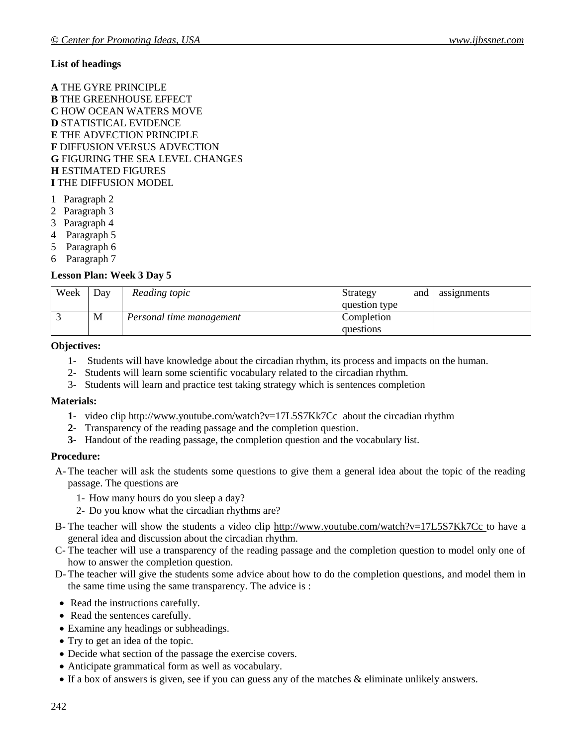# **List of headings**

**A** THE GYRE PRINCIPLE **B** THE GREENHOUSE EFFECT **C** HOW OCEAN WATERS MOVE **D** STATISTICAL EVIDENCE **E** THE ADVECTION PRINCIPLE **F** DIFFUSION VERSUS ADVECTION **G** FIGURING THE SEA LEVEL CHANGES **H** ESTIMATED FIGURES **I** THE DIFFUSION MODEL

- 1 Paragraph 2
- 2 Paragraph 3
- 3 Paragraph 4
- 4 Paragraph 5
- 5 Paragraph 6
- 6 Paragraph 7

## **Lesson Plan: Week 3 Day 5**

| Week | Dav | Reading topic            | Strategy      | and | assignments |
|------|-----|--------------------------|---------------|-----|-------------|
|      |     |                          | question type |     |             |
|      | M   | Personal time management | Completion    |     |             |
|      |     |                          | questions     |     |             |

### **Objectives:**

- 1- Students will have knowledge about the circadian rhythm, its process and impacts on the human.
- 2- Students will learn some scientific vocabulary related to the circadian rhythm.
- 3- Students will learn and practice test taking strategy which is sentences completion

### **Materials:**

- **1-** video clip<http://www.youtube.com/watch?v=17L5S7Kk7Cc>about the circadian rhythm
- **2-** Transparency of the reading passage and the completion question.
- **3-** Handout of the reading passage, the completion question and the vocabulary list.

### **Procedure:**

- A- The teacher will ask the students some questions to give them a general idea about the topic of the reading passage. The questions are
	- 1- How many hours do you sleep a day?
	- 2- Do you know what the circadian rhythms are?
- B- The teacher will show the students a video clip<http://www.youtube.com/watch?v=17L5S7Kk7Cc> to have a general idea and discussion about the circadian rhythm.
- C- The teacher will use a transparency of the reading passage and the completion question to model only one of how to answer the completion question.
- D- The teacher will give the students some advice about how to do the completion questions, and model them in the same time using the same transparency. The advice is :
- Read the instructions carefully.
- Read the sentences carefully.
- Examine any headings or subheadings.
- Try to get an idea of the topic.
- Decide what section of the passage the exercise covers.
- Anticipate grammatical form as well as vocabulary.
- If a box of answers is given, see if you can guess any of the matches & eliminate unlikely answers.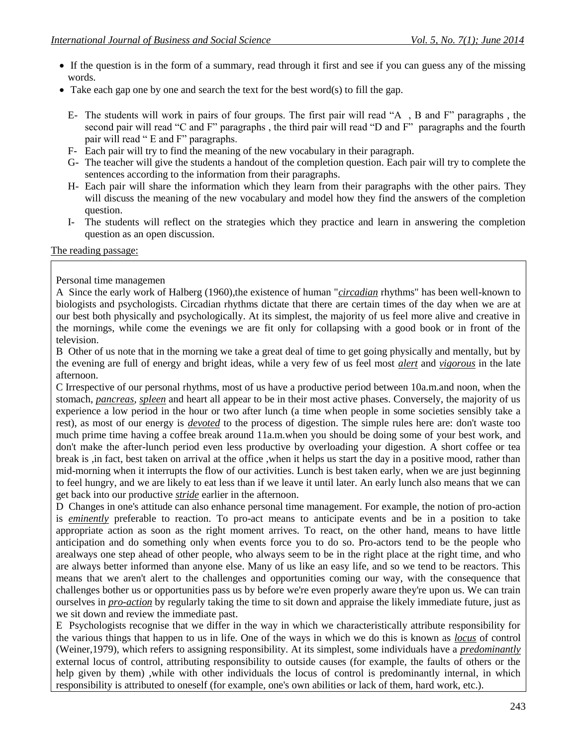- If the question is in the form of a summary, read through it first and see if you can guess any of the missing words.
- Take each gap one by one and search the text for the best word(s) to fill the gap.
	- E- The students will work in pairs of four groups. The first pair will read "A , B and F" paragraphs , the second pair will read "C and F" paragraphs, the third pair will read "D and F" paragraphs and the fourth pair will read " E and F" paragraphs.
	- F- Each pair will try to find the meaning of the new vocabulary in their paragraph.
	- G- The teacher will give the students a handout of the completion question. Each pair will try to complete the sentences according to the information from their paragraphs.
	- H- Each pair will share the information which they learn from their paragraphs with the other pairs. They will discuss the meaning of the new vocabulary and model how they find the answers of the completion question.
	- I- The students will reflect on the strategies which they practice and learn in answering the completion question as an open discussion.

The reading passage:

### Personal time managemen

A Since the early work of Halberg (1960),the existence of human "*circadian* rhythms" has been well-known to biologists and psychologists. Circadian rhythms dictate that there are certain times of the day when we are at our best both physically and psychologically. At its simplest, the majority of us feel more alive and creative in the mornings, while come the evenings we are fit only for collapsing with a good book or in front of the television.

B Other of us note that in the morning we take a great deal of time to get going physically and mentally, but by the evening are full of energy and bright ideas, while a very few of us feel most *alert* and *vigorous* in the late afternoon.

C Irrespective of our personal rhythms, most of us have a productive period between 10a.m.and noon, when the stomach, *pancreas*, *spleen* and heart all appear to be in their most active phases. Conversely, the majority of us experience a low period in the hour or two after lunch (a time when people in some societies sensibly take a rest), as most of our energy is *devoted* to the process of digestion. The simple rules here are: don't waste too much prime time having a coffee break around 11a.m.when you should be doing some of your best work, and don't make the after-lunch period even less productive by overloading your digestion. A short coffee or tea break is ,in fact, best taken on arrival at the office ,when it helps us start the day in a positive mood, rather than mid-morning when it interrupts the flow of our activities. Lunch is best taken early, when we are just beginning to feel hungry, and we are likely to eat less than if we leave it until later. An early lunch also means that we can get back into our productive *stride* earlier in the afternoon.

D Changes in one's attitude can also enhance personal time management. For example, the notion of pro-action is *eminently* preferable to reaction. To pro-act means to anticipate events and be in a position to take appropriate action as soon as the right moment arrives. To react, on the other hand, means to have little anticipation and do something only when events force you to do so. Pro-actors tend to be the people who arealways one step ahead of other people, who always seem to be in the right place at the right time, and who are always better informed than anyone else. Many of us like an easy life, and so we tend to be reactors. This means that we aren't alert to the challenges and opportunities coming our way, with the consequence that challenges bother us or opportunities pass us by before we're even properly aware they're upon us. We can train ourselves in *pro-action* by regularly taking the time to sit down and appraise the likely immediate future, just as we sit down and review the immediate past.

E Psychologists recognise that we differ in the way in which we characteristically attribute responsibility for the various things that happen to us in life. One of the ways in which we do this is known as *locus* of control (Weiner,1979), which refers to assigning responsibility. At its simplest, some individuals have a *predominantly* external locus of control, attributing responsibility to outside causes (for example, the faults of others or the help given by them), while with other individuals the locus of control is predominantly internal, in which responsibility is attributed to oneself (for example, one's own abilities or lack of them, hard work, etc.).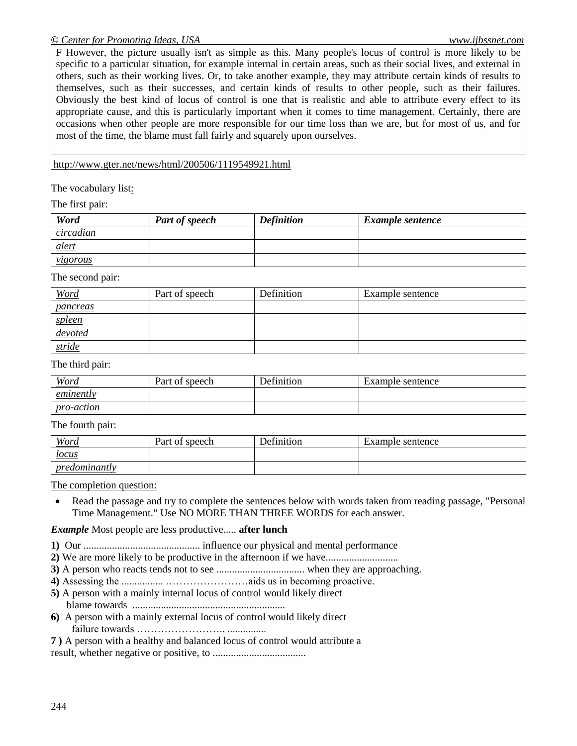F However, the picture usually isn't as simple as this. Many people's locus of control is more likely to be specific to a particular situation, for example internal in certain areas, such as their social lives, and external in others, such as their working lives. Or, to take another example, they may attribute certain kinds of results to themselves, such as their successes, and certain kinds of results to other people, such as their failures. Obviously the best kind of locus of control is one that is realistic and able to attribute every effect to its appropriate cause, and this is particularly important when it comes to time management. Certainly, there are occasions when other people are more responsible for our time loss than we are, but for most of us, and for most of the time, the blame must fall fairly and squarely upon ourselves.

http://www.gter.net/news/html/200506/1119549921.html

The vocabulary list:

The first pair:

| Word                | Part of speech | <b>Definition</b> | <b>Example</b> sentence |
|---------------------|----------------|-------------------|-------------------------|
| circadian           |                |                   |                         |
| $\underline{alert}$ |                |                   |                         |
| <u>vigorous</u>     |                |                   |                         |

The second pair:

| <b>Word</b>     | Part of speech | Definition | Example sentence |
|-----------------|----------------|------------|------------------|
| <i>pancreas</i> |                |            |                  |
| <i>spleen</i>   |                |            |                  |
| devoted         |                |            |                  |
| stride          |                |            |                  |

The third pair:

| <u>Word</u> | Part of speech | Definition | Example sentence |
|-------------|----------------|------------|------------------|
| eminently   |                |            |                  |
| pro-action  |                |            |                  |

The fourth pair:

| <u>Word</u>   | Part of speech | Definition | Example sentence |
|---------------|----------------|------------|------------------|
| <u>locus</u>  |                |            |                  |
| predominantly |                |            |                  |

The completion question:

• Read the passage and try to complete the sentences below with words taken from reading passage, "Personal Time Management." Use NO MORE THAN THREE WORDS for each answer.

*Example* Most people are less productive..... **after lunch**

- **1)** Our ............................................. influence our physical and mental performance
- **2)** We are more likely to be productive in the afternoon if we have............................
- **3)** A person who reacts tends not to see .................................. when they are approaching.
- **4)** Assessing the ................ ……………………aids us in becoming proactive.
- **5)** A person with a mainly internal locus of control would likely direct blame towards ...........................................................
- **6)** A person with a mainly external locus of control would likely direct failure towards …………………….. ...............
- **7 )** A person with a healthy and balanced locus of control would attribute a

result, whether negative or positive, to ....................................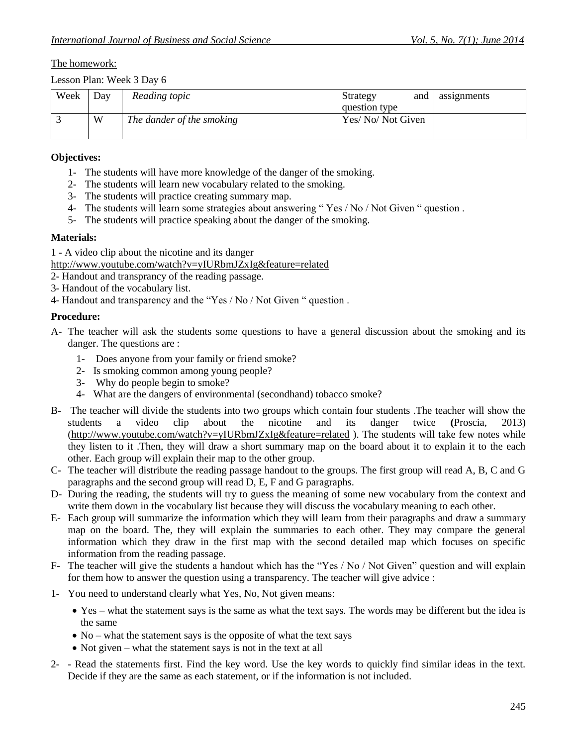### The homework:

Lesson Plan: Week 3 Day 6

| Week | Dav | Reading topic             | Strategy<br>and    | assignments |
|------|-----|---------------------------|--------------------|-------------|
|      |     |                           | question type      |             |
|      | W   | The dander of the smoking | Yes/ No/ Not Given |             |
|      |     |                           |                    |             |

## **Objectives:**

- 1- The students will have more knowledge of the danger of the smoking.
- 2- The students will learn new vocabulary related to the smoking.
- 3- The students will practice creating summary map.
- 4- The students will learn some strategies about answering "Yes / No / Not Given " question .
- 5- The students will practice speaking about the danger of the smoking.

## **Materials:**

1 - A video clip about the nicotine and its danger

<http://www.youtube.com/watch?v=yIURbmJZxIg&feature=related>

2- Handout and transprancy of the reading passage.

- 3- Handout of the vocabulary list.
- 4- Handout and transparency and the "Yes / No / Not Given " question .

# **Procedure:**

- A- The teacher will ask the students some questions to have a general discussion about the smoking and its danger. The questions are :
	- 1- Does anyone from your family or friend smoke?
	- 2- Is smoking common among young people?
	- 3- Why do people begin to smoke?
	- 4- What are the dangers of environmental (secondhand) tobacco smoke?
- B- The teacher will divide the students into two groups which contain four students .The teacher will show the students a video clip about the nicotine and its danger twice **(**Proscia, 2013) [\(http://www.youtube.com/watch?v=yIURbmJZxIg&feature=related](http://www.youtube.com/watch?v=yIURbmJZxIg&feature=related) ). The students will take few notes while they listen to it .Then, they will draw a short summary map on the board about it to explain it to the each other. Each group will explain their map to the other group.
- C- The teacher will distribute the reading passage handout to the groups. The first group will read A, B, C and G paragraphs and the second group will read D, E, F and G paragraphs.
- D- During the reading, the students will try to guess the meaning of some new vocabulary from the context and write them down in the vocabulary list because they will discuss the vocabulary meaning to each other.
- E- Each group will summarize the information which they will learn from their paragraphs and draw a summary map on the board. The, they will explain the summaries to each other. They may compare the general information which they draw in the first map with the second detailed map which focuses on specific information from the reading passage.
- F- The teacher will give the students a handout which has the "Yes / No / Not Given" question and will explain for them how to answer the question using a transparency. The teacher will give advice :
- 1- You need to understand clearly what Yes, No, Not given means:
	- Yes what the statement says is the same as what the text says. The words may be different but the idea is the same
	- $\bullet$  No what the statement says is the opposite of what the text says
	- Not given what the statement says is not in the text at all
- 2- Read the statements first. Find the key word. Use the key words to quickly find similar ideas in the text. Decide if they are the same as each statement, or if the information is not included.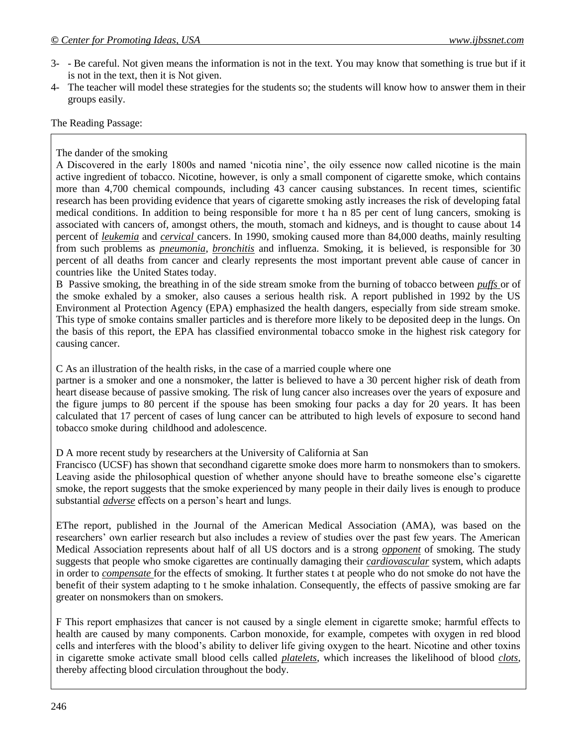- 3- Be careful. Not given means the information is not in the text. You may know that something is true but if it is not in the text, then it is Not given.
- 4- The teacher will model these strategies for the students so; the students will know how to answer them in their groups easily.

### The Reading Passage:

## The dander of the smoking

A Discovered in the early 1800s and named 'nicotia nine', the oily essence now called nicotine is the main active ingredient of tobacco. Nicotine, however, is only a small component of cigarette smoke, which contains more than 4,700 chemical compounds, including 43 cancer causing substances. In recent times, scientific research has been providing evidence that years of cigarette smoking astly increases the risk of developing fatal medical conditions. In addition to being responsible for more t ha n 85 per cent of lung cancers, smoking is associated with cancers of, amongst others, the mouth, stomach and kidneys, and is thought to cause about 14 percent of *leukemia* and *cervical* cancers. In 1990, smoking caused more than 84,000 deaths, mainly resulting from such problems as *pneumonia*, *bronchitis* and influenza. Smoking, it is believed, is responsible for 30 percent of all deaths from cancer and clearly represents the most important prevent able cause of cancer in countries like the United States today.

B Passive smoking, the breathing in of the side stream smoke from the burning of tobacco between *puffs* or of the smoke exhaled by a smoker, also causes a serious health risk. A report published in 1992 by the US Environment al Protection Agency (EPA) emphasized the health dangers, especially from side stream smoke. This type of smoke contains smaller particles and is therefore more likely to be deposited deep in the lungs. On the basis of this report, the EPA has classified environmental tobacco smoke in the highest risk category for causing cancer.

C As an illustration of the health risks, in the case of a married couple where one

partner is a smoker and one a nonsmoker, the latter is believed to have a 30 percent higher risk of death from heart disease because of passive smoking. The risk of lung cancer also increases over the years of exposure and the figure jumps to 80 percent if the spouse has been smoking four packs a day for 20 years. It has been calculated that 17 percent of cases of lung cancer can be attributed to high levels of exposure to second hand tobacco smoke during childhood and adolescence.

### D A more recent study by researchers at the University of California at San

Francisco (UCSF) has shown that secondhand cigarette smoke does more harm to nonsmokers than to smokers. Leaving aside the philosophical question of whether anyone should have to breathe someone else's cigarette smoke, the report suggests that the smoke experienced by many people in their daily lives is enough to produce substantial *adverse* effects on a person's heart and lungs.

EThe report, published in the Journal of the American Medical Association (AMA), was based on the researchers' own earlier research but also includes a review of studies over the past few years. The American Medical Association represents about half of all US doctors and is a strong *opponent* of smoking. The study suggests that people who smoke cigarettes are continually damaging their *cardiovascular* system, which adapts in order to *compensate* for the effects of smoking. It further states t at people who do not smoke do not have the benefit of their system adapting to t he smoke inhalation. Consequently, the effects of passive smoking are far greater on nonsmokers than on smokers.

F This report emphasizes that cancer is not caused by a single element in cigarette smoke; harmful effects to health are caused by many components. Carbon monoxide, for example, competes with oxygen in red blood cells and interferes with the blood's ability to deliver life giving oxygen to the heart. Nicotine and other toxins in cigarette smoke activate small blood cells called *platelets*, which increases the likelihood of blood *clots*, thereby affecting blood circulation throughout the body.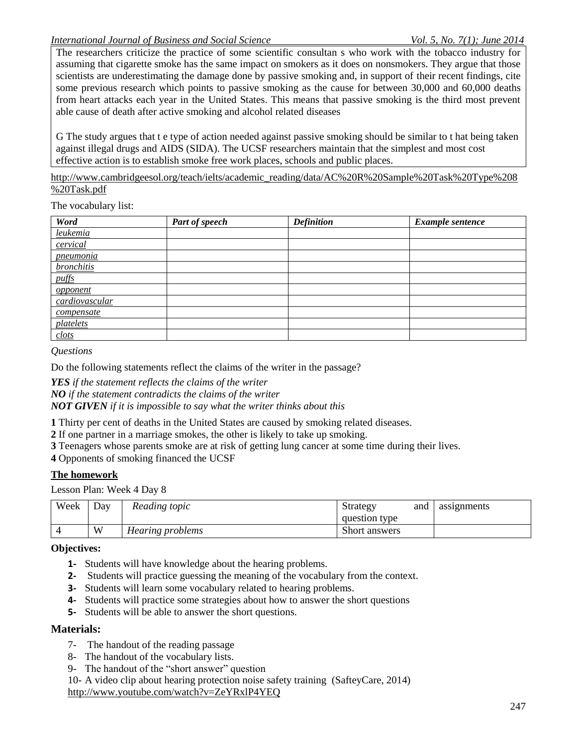The researchers criticize the practice of some scientific consultan s who work with the tobacco industry for assuming that cigarette smoke has the same impact on smokers as it does on nonsmokers. They argue that those scientists are underestimating the damage done by passive smoking and, in support of their recent findings, cite some previous research which points to passive smoking as the cause for between 30,000 and 60,000 deaths from heart attacks each year in the United States. This means that passive smoking is the third most prevent able cause of death after active smoking and alcohol related diseases

G The study argues that t e type of action needed against passive smoking should be similar to t hat being taken against illegal drugs and AIDS (SIDA). The UCSF researchers maintain that the simplest and most cost effective action is to establish smoke free work places, schools and public places.

[http://www.cambridgeesol.org/teach/ielts/academic\\_reading/data/AC%20R%20Sample%20Task%20Type%208](http://www.cambridgeesol.org/teach/ielts/academic_reading/data/AC%20R%20Sample%20Task%20Type%208%20Task.pdf) [%20Task.pdf](http://www.cambridgeesol.org/teach/ielts/academic_reading/data/AC%20R%20Sample%20Task%20Type%208%20Task.pdf)

The vocabulary list:

| Word              | Part of speech | <b>Definition</b> | <b>Example</b> sentence |
|-------------------|----------------|-------------------|-------------------------|
| leukemia          |                |                   |                         |
| cervical          |                |                   |                         |
| <i>pneumonia</i>  |                |                   |                         |
| <b>bronchitis</b> |                |                   |                         |
| puffs             |                |                   |                         |
| opponent          |                |                   |                         |
| cardiovascular    |                |                   |                         |
| compensate        |                |                   |                         |
| platelets         |                |                   |                         |
| clots             |                |                   |                         |

*Questions* 

Do the following statements reflect the claims of the writer in the passage?

*YES if the statement reflects the claims of the writer*

*NO if the statement contradicts the claims of the writer*

*NOT GIVEN if it is impossible to say what the writer thinks about this*

**1** Thirty per cent of deaths in the United States are caused by smoking related diseases.

- **2** If one partner in a marriage smokes, the other is likely to take up smoking.
- **3** Teenagers whose parents smoke are at risk of getting lung cancer at some time during their lives.

**4** Opponents of smoking financed the UCSF

# **The homework**

Lesson Plan: Week 4 Day 8

| Week | Day | Reading topic    | Strategy<br>question type | and | assignments |
|------|-----|------------------|---------------------------|-----|-------------|
|      | W   | Hearing problems | Short answers             |     |             |

# **Objectives:**

- **1-** Students will have knowledge about the hearing problems.
- **2-** Students will practice guessing the meaning of the vocabulary from the context.
- **3-** Students will learn some vocabulary related to hearing problems.
- **4-** Students will practice some strategies about how to answer the short questions
- **5-** Students will be able to answer the short questions.

# **Materials:**

- 7- The handout of the reading passage
- 8- The handout of the vocabulary lists.
- 9- The handout of the "short answer" question
- 10- A video clip about hearing protection noise safety training (SafteyCare, 2014)

<http://www.youtube.com/watch?v=ZeYRxlP4YEQ>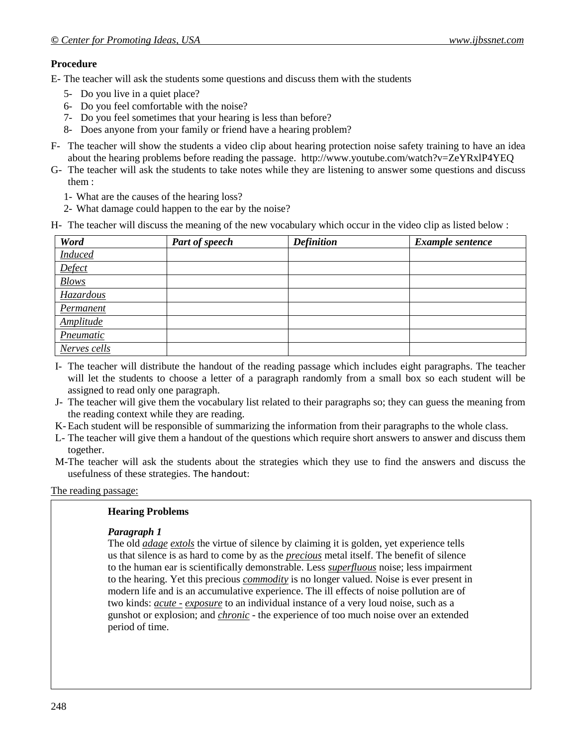## **Procedure**

E- The teacher will ask the students some questions and discuss them with the students

- 5- Do you live in a quiet place?
- 6- Do you feel comfortable with the noise?
- 7- Do you feel sometimes that your hearing is less than before?
- 8- Does anyone from your family or friend have a hearing problem?
- F- The teacher will show the students a video clip about hearing protection noise safety training to have an idea about the hearing problems before reading the passage. http://www.youtube.com/watch?v=ZeYRxlP4YEQ
- G- The teacher will ask the students to take notes while they are listening to answer some questions and discuss them :
	- 1- What are the causes of the hearing loss?
	- 2- What damage could happen to the ear by the noise?
- H- The teacher will discuss the meaning of the new vocabulary which occur in the video clip as listed below :

| Word             | Part of speech | <b>Definition</b> | <b>Example</b> sentence |
|------------------|----------------|-------------------|-------------------------|
| <b>Induced</b>   |                |                   |                         |
| Defect           |                |                   |                         |
| <b>Blows</b>     |                |                   |                         |
| Hazardous        |                |                   |                         |
| Permanent        |                |                   |                         |
| <b>Amplitude</b> |                |                   |                         |
| Pneumatic        |                |                   |                         |
| Nerves cells     |                |                   |                         |

I- The teacher will distribute the handout of the reading passage which includes eight paragraphs. The teacher will let the students to choose a letter of a paragraph randomly from a small box so each student will be assigned to read only one paragraph.

- J- The teacher will give them the vocabulary list related to their paragraphs so; they can guess the meaning from the reading context while they are reading.
- K- Each student will be responsible of summarizing the information from their paragraphs to the whole class.
- L- The teacher will give them a handout of the questions which require short answers to answer and discuss them together.
- M-The teacher will ask the students about the strategies which they use to find the answers and discuss the usefulness of these strategies. The handout:

The reading passage:

### **Hearing Problems**

### *Paragraph 1*

The old *adage extols* the virtue of silence by claiming it is golden, yet experience tells us that silence is as hard to come by as the *precious* metal itself. The benefit of silence to the human ear is scientifically demonstrable. Less *superfluous* noise; less impairment to the hearing. Yet this precious *commodity* is no longer valued. Noise is ever present in modern life and is an accumulative experience. The ill effects of noise pollution are of two kinds: *acute - exposure* to an individual instance of a very loud noise, such as a gunshot or explosion; and *chronic* - the experience of too much noise over an extended period of time.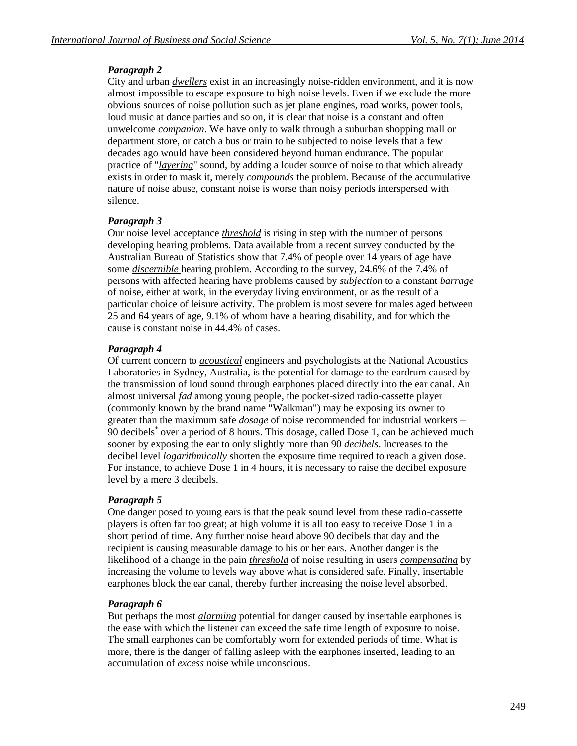# *Paragraph 2*

City and urban *dwellers* exist in an increasingly noise-ridden environment, and it is now almost impossible to escape exposure to high noise levels. Even if we exclude the more obvious sources of noise pollution such as jet plane engines, road works, power tools, loud music at dance parties and so on, it is clear that noise is a constant and often unwelcome *companion*. We have only to walk through a suburban shopping mall or department store, or catch a bus or train to be subjected to noise levels that a few decades ago would have been considered beyond human endurance. The popular practice of "*layering*" sound, by adding a louder source of noise to that which already exists in order to mask it, merely *compounds* the problem. Because of the accumulative nature of noise abuse, constant noise is worse than noisy periods interspersed with silence.

# *Paragraph 3*

Our noise level acceptance *threshold* is rising in step with the number of persons developing hearing problems. Data available from a recent survey conducted by the Australian Bureau of Statistics show that 7.4% of people over 14 years of age have some *discernible* hearing problem. According to the survey, 24.6% of the 7.4% of persons with affected hearing have problems caused by *subjection* to a constant *barrage* of noise, either at work, in the everyday living environment, or as the result of a particular choice of leisure activity. The problem is most severe for males aged between 25 and 64 years of age, 9.1% of whom have a hearing disability, and for which the cause is constant noise in 44.4% of cases.

# *Paragraph 4*

Of current concern to *acoustical* engineers and psychologists at the National Acoustics Laboratories in Sydney, Australia, is the potential for damage to the eardrum caused by the transmission of loud sound through earphones placed directly into the ear canal. An almost universal *fad* among young people, the pocket-sized radio-cassette player (commonly known by the brand name "Walkman") may be exposing its owner to greater than the maximum safe *dosage* of noise recommended for industrial workers – 90 decibels<sup>\*</sup> over a period of 8 hours. This dosage, called Dose 1, can be achieved much sooner by exposing the ear to only slightly more than 90 *decibels*. Increases to the decibel level *logarithmically* shorten the exposure time required to reach a given dose. For instance, to achieve Dose 1 in 4 hours, it is necessary to raise the decibel exposure level by a mere 3 decibels.

# *Paragraph 5*

One danger posed to young ears is that the peak sound level from these radio-cassette players is often far too great; at high volume it is all too easy to receive Dose 1 in a short period of time. Any further noise heard above 90 decibels that day and the recipient is causing measurable damage to his or her ears. Another danger is the likelihood of a change in the pain *threshold* of noise resulting in users *compensating* by increasing the volume to levels way above what is considered safe. Finally, insertable earphones block the ear canal, thereby further increasing the noise level absorbed.

# *Paragraph 6*

But perhaps the most *alarming* potential for danger caused by insertable earphones is the ease with which the listener can exceed the safe time length of exposure to noise. The small earphones can be comfortably worn for extended periods of time. What is more, there is the danger of falling asleep with the earphones inserted, leading to an accumulation of *excess* noise while unconscious.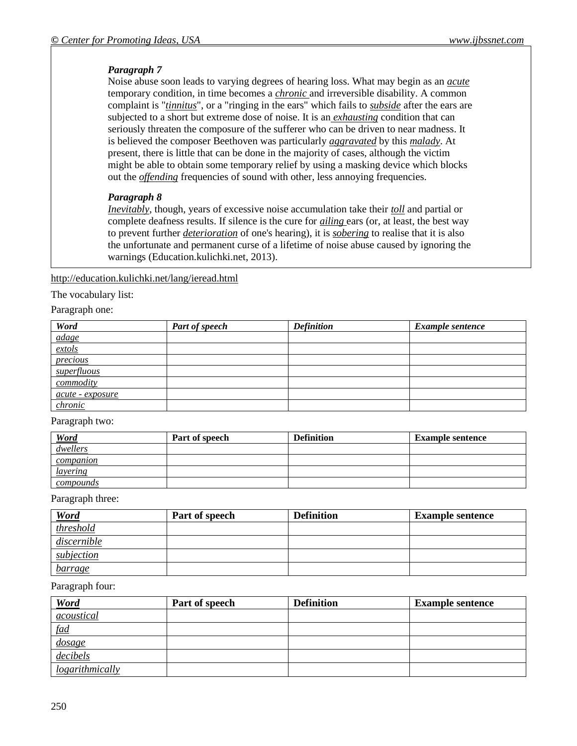# *Paragraph 7*

Noise abuse soon leads to varying degrees of hearing loss. What may begin as an *acute* temporary condition, in time becomes a *chronic* and irreversible disability. A common complaint is "*tinnitus*", or a "ringing in the ears" which fails to *subside* after the ears are subjected to a short but extreme dose of noise. It is an *exhausting* condition that can seriously threaten the composure of the sufferer who can be driven to near madness. It is believed the composer Beethoven was particularly *aggravated* by this *malady*. At present, there is little that can be done in the majority of cases, although the victim might be able to obtain some temporary relief by using a masking device which blocks out the *offending* frequencies of sound with other, less annoying frequencies.

# *Paragraph 8*

*Inevitably*, though, years of excessive noise accumulation take their *toll* and partial or complete deafness results. If silence is the cure for *ailing* ears (or, at least, the best way to prevent further *deterioration* of one's hearing), it is *sobering* to realise that it is also the unfortunate and permanent curse of a lifetime of noise abuse caused by ignoring the warnings (Education.kulichki.net, 2013).

<http://education.kulichki.net/lang/ieread.html>

The vocabulary list:

### Paragraph one:

| Word                   | Part of speech | <b>Definition</b> | <b>Example</b> sentence |
|------------------------|----------------|-------------------|-------------------------|
| <u>adage</u><br>extols |                |                   |                         |
|                        |                |                   |                         |
| precious               |                |                   |                         |
| superfluous            |                |                   |                         |
| commodity              |                |                   |                         |
| acute - exposure       |                |                   |                         |
| chronic                |                |                   |                         |

### Paragraph two:

| <u>Word</u>        | Part of speech | <b>Definition</b> | <b>Example sentence</b> |
|--------------------|----------------|-------------------|-------------------------|
| $d$ <i>wellers</i> |                |                   |                         |
| <u>companion</u>   |                |                   |                         |
| layering           |                |                   |                         |
| compounds          |                |                   |                         |

### Paragraph three:

| <b>Word</b>        | Part of speech | <b>Definition</b> | <b>Example sentence</b> |
|--------------------|----------------|-------------------|-------------------------|
| threshold          |                |                   |                         |
| <i>discernible</i> |                |                   |                         |
| <i>subjection</i>  |                |                   |                         |
| <u>barrage</u>     |                |                   |                         |

### Paragraph four:

| <b>Word</b>            | Part of speech | <b>Definition</b> | <b>Example sentence</b> |
|------------------------|----------------|-------------------|-------------------------|
| <i>acoustical</i>      |                |                   |                         |
| fad                    |                |                   |                         |
| dosage                 |                |                   |                         |
| decibels               |                |                   |                         |
| <i>logarithmically</i> |                |                   |                         |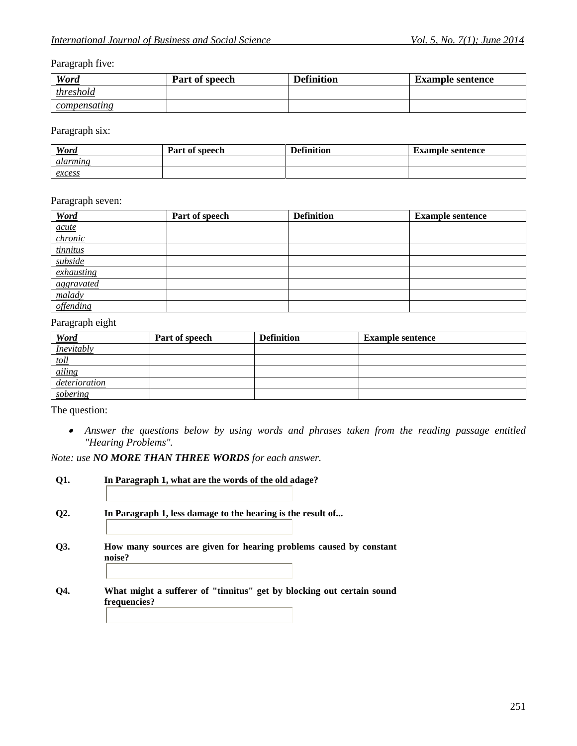Paragraph five:

| Word                | Part of speech | <b>Definition</b> | <b>Example sentence</b> |
|---------------------|----------------|-------------------|-------------------------|
| <i>threshold</i>    |                |                   |                         |
| <u>compensating</u> |                |                   |                         |

Paragraph six:

| Word            | Part of speech | <b>Definition</b> | <b>Example sentence</b> |
|-----------------|----------------|-------------------|-------------------------|
| <u>alarming</u> |                |                   |                         |
| <u>excess</u>   |                |                   |                         |

#### Paragraph seven:

| <b>Word</b>       | Part of speech | <b>Definition</b> | <b>Example sentence</b> |
|-------------------|----------------|-------------------|-------------------------|
| acute             |                |                   |                         |
| chronic           |                |                   |                         |
| <i>tinnitus</i>   |                |                   |                         |
| subside           |                |                   |                         |
| exhausting        |                |                   |                         |
| <u>aggravated</u> |                |                   |                         |
| malady            |                |                   |                         |
| <i>offending</i>  |                |                   |                         |

### Paragraph eight

| <b>Word</b>   | Part of speech | <b>Definition</b> | <b>Example sentence</b> |
|---------------|----------------|-------------------|-------------------------|
| Inevitably    |                |                   |                         |
| $roll$        |                |                   |                         |
| ailing        |                |                   |                         |
| deterioration |                |                   |                         |
| sobering      |                |                   |                         |

The question:

 *Answer the questions below by using words and phrases taken from the reading passage entitled "Hearing Problems".*

*Note: use NO MORE THAN THREE WORDS for each answer.*

- **Q1. In Paragraph 1, what are the words of the old adage?**
- **Q2. In Paragraph 1, less damage to the hearing is the result of...**
- **Q3. How many sources are given for hearing problems caused by constant noise?**
- **Q4. What might a sufferer of "tinnitus" get by blocking out certain sound frequencies?**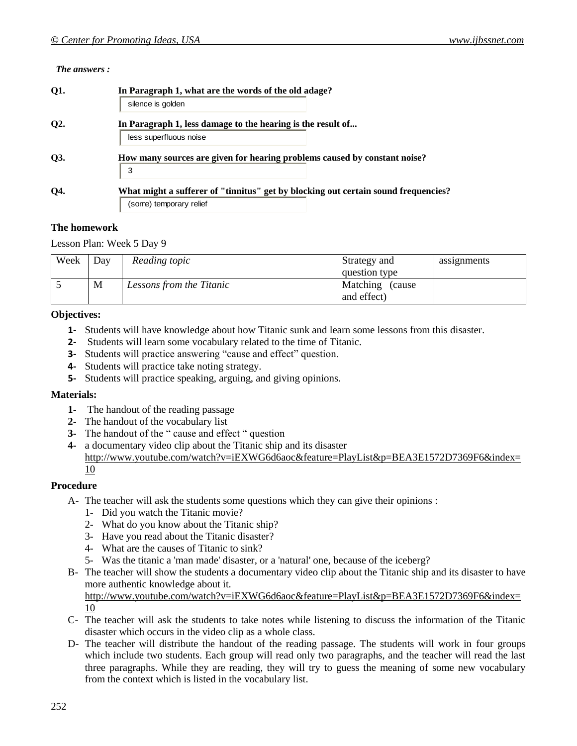#### *The answers :*

| Q1. | In Paragraph 1, what are the words of the old adage?                               |
|-----|------------------------------------------------------------------------------------|
|     | silence is golden                                                                  |
| Q2. | In Paragraph 1, less damage to the hearing is the result of                        |
|     | less superfluous noise                                                             |
| Q3. | How many sources are given for hearing problems caused by constant noise?          |
|     | 3                                                                                  |
| Q4. | What might a sufferer of "tinnitus" get by blocking out certain sound frequencies? |
|     | (some) temporary relief                                                            |

## **The homework**

Lesson Plan: Week 5 Day 9

| Week | Dav. | Reading topic            | Strategy and             | assignments |
|------|------|--------------------------|--------------------------|-------------|
|      |      |                          | question type            |             |
|      | M    | Lessons from the Titanic | Matching<br><i>cause</i> |             |
|      |      |                          | and effect)              |             |

### **Objectives:**

- **1-** Students will have knowledge about how Titanic sunk and learn some lessons from this disaster.
- **2-** Students will learn some vocabulary related to the time of Titanic.
- **3-** Students will practice answering "cause and effect" question.
- **4-** Students will practice take noting strategy.
- **5-** Students will practice speaking, arguing, and giving opinions.

### **Materials:**

- **1-** The handout of the reading passage
- **2-** The handout of the vocabulary list
- **3-** The handout of the " cause and effect " question
- **4-** a documentary video clip about the Titanic ship and its disaster [http://www.youtube.com/watch?v=iEXWG6d6aoc&feature=PlayList&p=BEA3E1572D7369F6&index=](http://www.youtube.com/watch?v=iEXWG6d6aoc&feature=PlayList&p=BEA3E1572D7369F6&index=10) [10](http://www.youtube.com/watch?v=iEXWG6d6aoc&feature=PlayList&p=BEA3E1572D7369F6&index=10)

# **Procedure**

- A- The teacher will ask the students some questions which they can give their opinions :
	- 1- Did you watch the Titanic movie?
	- 2- What do you know about the Titanic ship?
	- 3- Have you read about the Titanic disaster?
	- 4- What are the causes of Titanic to sink?
	- 5- [Was the titanic a 'man made' disaster, or a 'natural' one, because of the iceberg?](http://www.answerbag.com/q_view/1114020)
- B- The teacher will show the students a documentary video clip about the Titanic ship and its disaster to have more authentic knowledge about it. [http://www.youtube.com/watch?v=iEXWG6d6aoc&feature=PlayList&p=BEA3E1572D7369F6&index=](http://www.youtube.com/watch?v=iEXWG6d6aoc&feature=PlayList&p=BEA3E1572D7369F6&index=10)

[10](http://www.youtube.com/watch?v=iEXWG6d6aoc&feature=PlayList&p=BEA3E1572D7369F6&index=10)

- C- The teacher will ask the students to take notes while listening to discuss the information of the Titanic disaster which occurs in the video clip as a whole class.
- D- The teacher will distribute the handout of the reading passage. The students will work in four groups which include two students. Each group will read only two paragraphs, and the teacher will read the last three paragraphs. While they are reading, they will try to guess the meaning of some new vocabulary from the context which is listed in the vocabulary list.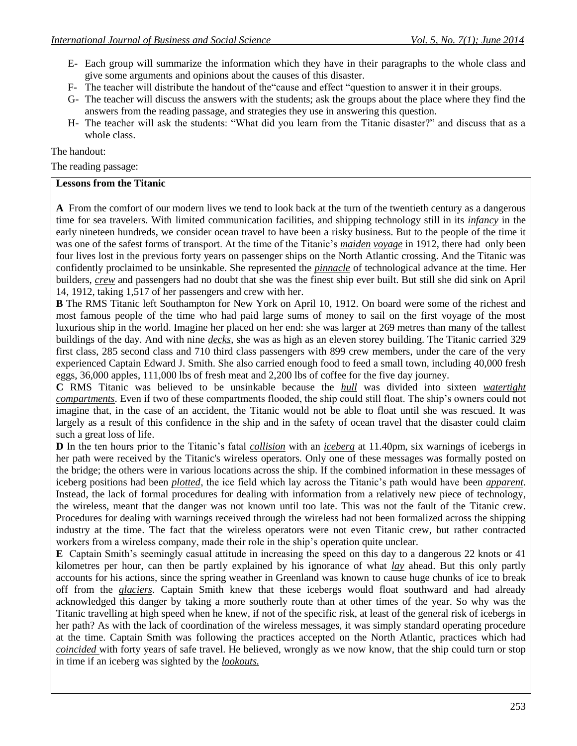- E- Each group will summarize the information which they have in their paragraphs to the whole class and give some arguments and opinions about the causes of this disaster.
- F- The teacher will distribute the handout of the"cause and effect "question to answer it in their groups.
- G- The teacher will discuss the answers with the students; ask the groups about the place where they find the answers from the reading passage, and strategies they use in answering this question.
- H- The teacher will ask the students: "What did you learn from the Titanic disaster?" and discuss that as a whole class.

The handout:

The reading passage:

## **Lessons from the Titanic**

**A** From the comfort of our modern lives we tend to look back at the turn of the twentieth century as a dangerous time for sea travelers. With limited communication facilities, and shipping technology still in its *infancy* in the early nineteen hundreds, we consider ocean travel to have been a risky business. But to the people of the time it was one of the safest forms of transport. At the time of the Titanic's *maiden voyage* in 1912, there had only been four lives lost in the previous forty years on passenger ships on the North Atlantic crossing. And the Titanic was confidently proclaimed to be unsinkable. She represented the *pinnacle* of technological advance at the time. Her builders, *crew* and passengers had no doubt that she was the finest ship ever built. But still she did sink on April 14, 1912, taking 1,517 of her passengers and crew with her.

**B** The RMS Titanic left Southampton for New York on April 10, 1912. On board were some of the richest and most famous people of the time who had paid large sums of money to sail on the first voyage of the most luxurious ship in the world. Imagine her placed on her end: she was larger at 269 metres than many of the tallest buildings of the day. And with nine *decks*, she was as high as an eleven storey building. The Titanic carried 329 first class, 285 second class and 710 third class passengers with 899 crew members, under the care of the very experienced Captain Edward J. Smith. She also carried enough food to feed a small town, including 40,000 fresh eggs, 36,000 apples, 111,000 lbs of fresh meat and 2,200 lbs of coffee for the five day journey.

**C** RMS Titanic was believed to be unsinkable because the *hull* was divided into sixteen *watertight compartments*. Even if two of these compartments flooded, the ship could still float. The ship's owners could not imagine that, in the case of an accident, the Titanic would not be able to float until she was rescued. It was largely as a result of this confidence in the ship and in the safety of ocean travel that the disaster could claim such a great loss of life.

**D** In the ten hours prior to the Titanic's fatal *collision* with an *iceberg* at 11.40pm, six warnings of icebergs in her path were received by the Titanic's wireless operators. Only one of these messages was formally posted on the bridge; the others were in various locations across the ship. If the combined information in these messages of iceberg positions had been *plotted*, the ice field which lay across the Titanic's path would have been *apparent*. Instead, the lack of formal procedures for dealing with information from a relatively new piece of technology, the wireless, meant that the danger was not known until too late. This was not the fault of the Titanic crew. Procedures for dealing with warnings received through the wireless had not been formalized across the shipping industry at the time. The fact that the wireless operators were not even Titanic crew, but rather contracted workers from a wireless company, made their role in the ship's operation quite unclear.

**E** Captain Smith's seemingly casual attitude in increasing the speed on this day to a dangerous 22 knots or 41 kilometres per hour, can then be partly explained by his ignorance of what *lay* ahead. But this only partly accounts for his actions, since the spring weather in Greenland was known to cause huge chunks of ice to break off from the *glaciers*. Captain Smith knew that these icebergs would float southward and had already acknowledged this danger by taking a more southerly route than at other times of the year. So why was the Titanic travelling at high speed when he knew, if not of the specific risk, at least of the general risk of icebergs in her path? As with the lack of coordination of the wireless messages, it was simply standard operating procedure at the time. Captain Smith was following the practices accepted on the North Atlantic, practices which had *coincided* with forty years of safe travel. He believed, wrongly as we now know, that the ship could turn or stop in time if an iceberg was sighted by the *lookouts.*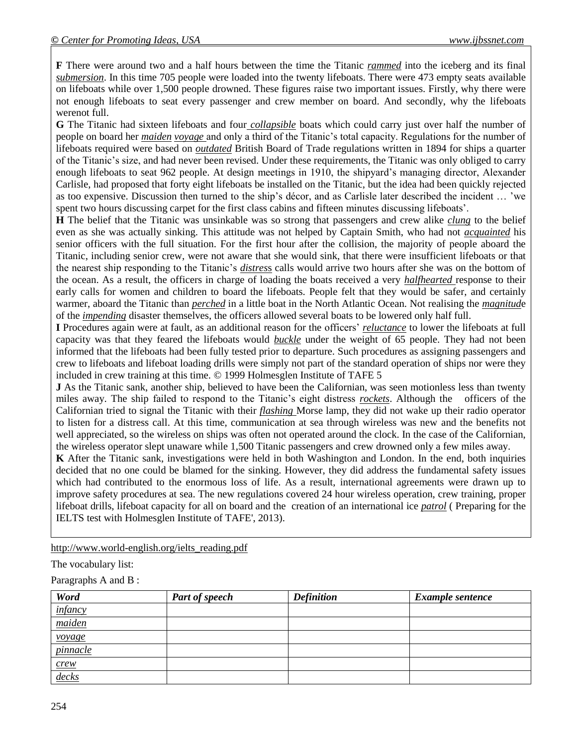**F** There were around two and a half hours between the time the Titanic *rammed* into the iceberg and its final *submersion*. In this time 705 people were loaded into the twenty lifeboats. There were 473 empty seats available on lifeboats while over 1,500 people drowned. These figures raise two important issues. Firstly, why there were not enough lifeboats to seat every passenger and crew member on board. And secondly, why the lifeboats werenot full.

**G** The Titanic had sixteen lifeboats and four *collapsible* boats which could carry just over half the number of people on board her *maiden voyage* and only a third of the Titanic's total capacity. Regulations for the number of lifeboats required were based on *outdated* British Board of Trade regulations written in 1894 for ships a quarter of the Titanic's size, and had never been revised. Under these requirements, the Titanic was only obliged to carry enough lifeboats to seat 962 people. At design meetings in 1910, the shipyard's managing director, Alexander Carlisle, had proposed that forty eight lifeboats be installed on the Titanic, but the idea had been quickly rejected as too expensive. Discussion then turned to the ship's décor, and as Carlisle later described the incident … 'we spent two hours discussing carpet for the first class cabins and fifteen minutes discussing lifeboats'.

**H** The belief that the Titanic was unsinkable was so strong that passengers and crew alike *clung* to the belief even as she was actually sinking. This attitude was not helped by Captain Smith, who had not *acquainted* his senior officers with the full situation. For the first hour after the collision, the majority of people aboard the Titanic, including senior crew, were not aware that she would sink, that there were insufficient lifeboats or that the nearest ship responding to the Titanic's *distres*s calls would arrive two hours after she was on the bottom of the ocean. As a result, the officers in charge of loading the boats received a very *halfhearted* response to their early calls for women and children to board the lifeboats. People felt that they would be safer, and certainly warmer, aboard the Titanic than *perched* in a little boat in the North Atlantic Ocean. Not realising the *magnitud*e of the *impending* disaster themselves, the officers allowed several boats to be lowered only half full.

**I** Procedures again were at fault, as an additional reason for the officers' *reluctance* to lower the lifeboats at full capacity was that they feared the lifeboats would *buckle* under the weight of 65 people. They had not been informed that the lifeboats had been fully tested prior to departure. Such procedures as assigning passengers and crew to lifeboats and lifeboat loading drills were simply not part of the standard operation of ships nor were they included in crew training at this time. © 1999 Holmesglen Institute of TAFE 5

**J** As the Titanic sank, another ship, believed to have been the Californian, was seen motionless less than twenty miles away. The ship failed to respond to the Titanic's eight distress *rockets*. Although the officers of the Californian tried to signal the Titanic with their *flashing* Morse lamp, they did not wake up their radio operator to listen for a distress call. At this time, communication at sea through wireless was new and the benefits not well appreciated, so the wireless on ships was often not operated around the clock. In the case of the Californian, the wireless operator slept unaware while 1,500 Titanic passengers and crew drowned only a few miles away.

**K** After the Titanic sank, investigations were held in both Washington and London. In the end, both inquiries decided that no one could be blamed for the sinking. However, they did address the fundamental safety issues which had contributed to the enormous loss of life. As a result, international agreements were drawn up to improve safety procedures at sea. The new regulations covered 24 hour wireless operation, crew training, proper lifeboat drills, lifeboat capacity for all on board and the creation of an international ice *patrol* ( Preparing for the IELTS test with Holmesglen Institute of TAFE', 2013).

[http://www.world-english.org/ielts\\_reading.pdf](http://www.world-english.org/ielts_reading.pdf)

The vocabulary list:

Paragraphs A and B :

| Word               | Part of speech | <b>Definition</b> | <b>Example sentence</b> |
|--------------------|----------------|-------------------|-------------------------|
| infancy            |                |                   |                         |
| maiden             |                |                   |                         |
| voyage             |                |                   |                         |
| pinnacle           |                |                   |                         |
|                    |                |                   |                         |
| $rac{crew}{decks}$ |                |                   |                         |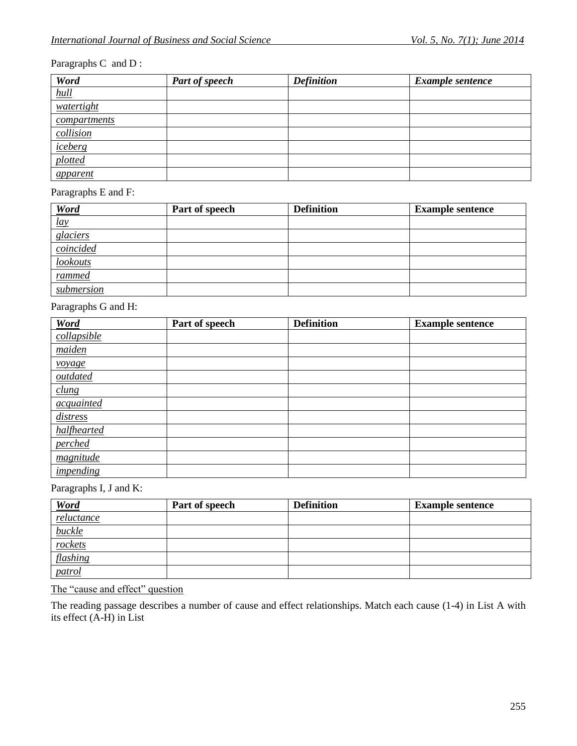## Paragraphs C and D :

| Word           | Part of speech | <b>Definition</b> | <b>Example sentence</b> |
|----------------|----------------|-------------------|-------------------------|
| hull           |                |                   |                         |
| watertight     |                |                   |                         |
| compartments   |                |                   |                         |
| collision      |                |                   |                         |
| <i>iceberg</i> |                |                   |                         |
| plotted        |                |                   |                         |
| apparent       |                |                   |                         |

## Paragraphs E and F:

| <b>Word</b>            | Part of speech | <b>Definition</b> | <b>Example sentence</b> |
|------------------------|----------------|-------------------|-------------------------|
| $\frac{lay}{\sqrt{2}}$ |                |                   |                         |
| glaciers               |                |                   |                         |
| coincided              |                |                   |                         |
| lookouts               |                |                   |                         |
| rammed                 |                |                   |                         |
| submersion             |                |                   |                         |

## Paragraphs G and H:

| <b>Word</b>       | Part of speech | <b>Definition</b> | <b>Example sentence</b> |
|-------------------|----------------|-------------------|-------------------------|
| collapsible       |                |                   |                         |
| maiden            |                |                   |                         |
| voyage            |                |                   |                         |
| <b>outdated</b>   |                |                   |                         |
| clung             |                |                   |                         |
| <i>acquainted</i> |                |                   |                         |
| distress          |                |                   |                         |
| halfhearted       |                |                   |                         |
| perched           |                |                   |                         |
| magnitude         |                |                   |                         |
| <i>impending</i>  |                |                   |                         |

Paragraphs I, J and K:

| <u>Word</u>   | Part of speech | <b>Definition</b> | <b>Example sentence</b> |
|---------------|----------------|-------------------|-------------------------|
| reluctance    |                |                   |                         |
| <b>buckle</b> |                |                   |                         |
| rockets       |                |                   |                         |
| flashing      |                |                   |                         |
| patrol        |                |                   |                         |

The "cause and effect" question

The reading passage describes a number of cause and effect relationships. Match each cause (1-4) in List A with its effect (A-H) in List